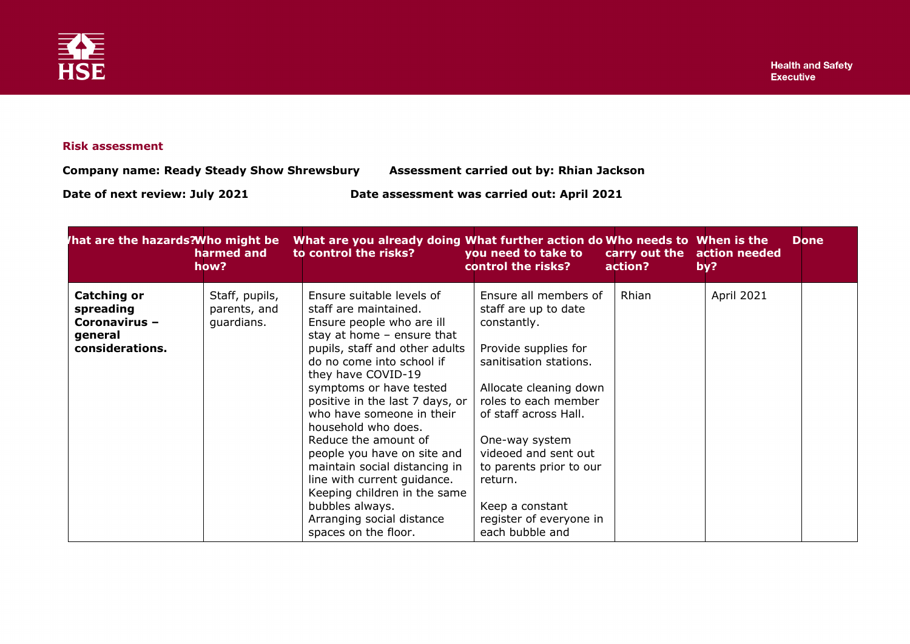

## **Risk assessment**

**Company name: Ready Steady Show Shrewsbury Assessment carried out by: Rhian Jackson**

**Date of next review: July 2021 Date assessment was carried out: April 2021**

| hat are the hazards?Who might be                                               | harmed and<br>how?                           | What are you already doing What further action do Who needs to When is the<br>to control the risks?                                                                                                                                                                                                                                                                                                                                                                                                                                                   | you need to take to<br>control the risks?                                                                                                                                                                                                                                                                                                  | carry out the<br>action? | action needed<br>by? | <b>Done</b> |
|--------------------------------------------------------------------------------|----------------------------------------------|-------------------------------------------------------------------------------------------------------------------------------------------------------------------------------------------------------------------------------------------------------------------------------------------------------------------------------------------------------------------------------------------------------------------------------------------------------------------------------------------------------------------------------------------------------|--------------------------------------------------------------------------------------------------------------------------------------------------------------------------------------------------------------------------------------------------------------------------------------------------------------------------------------------|--------------------------|----------------------|-------------|
| <b>Catching or</b><br>spreading<br>Coronavirus -<br>general<br>considerations. | Staff, pupils,<br>parents, and<br>guardians. | Ensure suitable levels of<br>staff are maintained.<br>Ensure people who are ill<br>stay at home $-$ ensure that<br>pupils, staff and other adults<br>do no come into school if<br>they have COVID-19<br>symptoms or have tested<br>positive in the last 7 days, or<br>who have someone in their<br>household who does.<br>Reduce the amount of<br>people you have on site and<br>maintain social distancing in<br>line with current guidance.<br>Keeping children in the same<br>bubbles always.<br>Arranging social distance<br>spaces on the floor. | Ensure all members of<br>staff are up to date<br>constantly.<br>Provide supplies for<br>sanitisation stations.<br>Allocate cleaning down<br>roles to each member<br>of staff across Hall.<br>One-way system<br>videoed and sent out<br>to parents prior to our<br>return.<br>Keep a constant<br>register of everyone in<br>each bubble and | Rhian                    | April 2021           |             |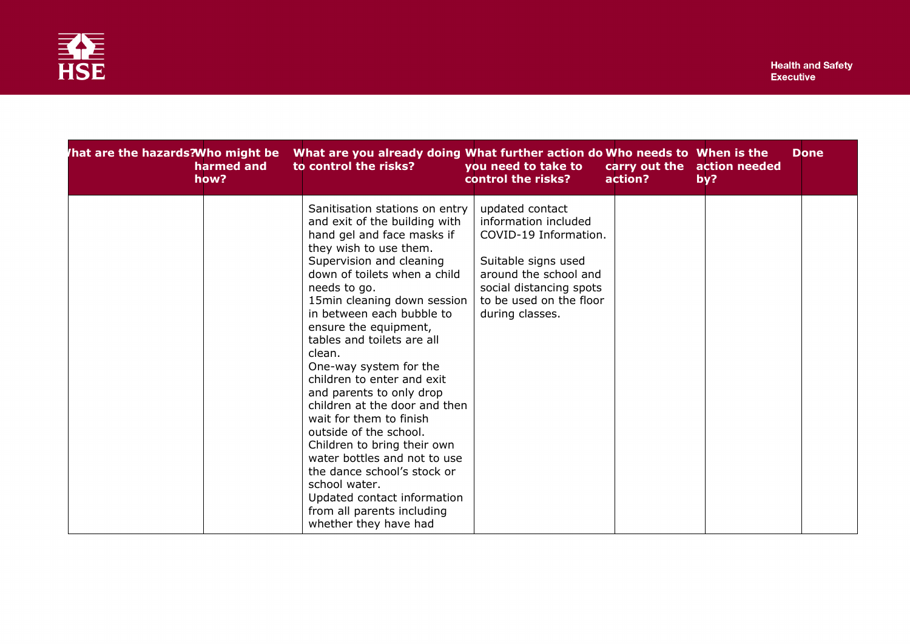

| hat are the hazards?Who might be<br>harmed and<br>how? | What are you already doing What further action do Who needs to When is the<br>to control the risks?                                                                                                                                                                                                                                                                                                                                                                                                                                                                                                                                                                                                             | you need to take to<br>control the risks?                                                                                                                                                 | carry out the action needed<br>action? | by? | <b>Done</b> |
|--------------------------------------------------------|-----------------------------------------------------------------------------------------------------------------------------------------------------------------------------------------------------------------------------------------------------------------------------------------------------------------------------------------------------------------------------------------------------------------------------------------------------------------------------------------------------------------------------------------------------------------------------------------------------------------------------------------------------------------------------------------------------------------|-------------------------------------------------------------------------------------------------------------------------------------------------------------------------------------------|----------------------------------------|-----|-------------|
|                                                        | Sanitisation stations on entry<br>and exit of the building with<br>hand gel and face masks if<br>they wish to use them.<br>Supervision and cleaning<br>down of toilets when a child<br>needs to go.<br>15min cleaning down session<br>in between each bubble to<br>ensure the equipment,<br>tables and toilets are all<br>clean.<br>One-way system for the<br>children to enter and exit<br>and parents to only drop<br>children at the door and then<br>wait for them to finish<br>outside of the school.<br>Children to bring their own<br>water bottles and not to use<br>the dance school's stock or<br>school water.<br>Updated contact information<br>from all parents including<br>whether they have had | updated contact<br>information included<br>COVID-19 Information.<br>Suitable signs used<br>around the school and<br>social distancing spots<br>to be used on the floor<br>during classes. |                                        |     |             |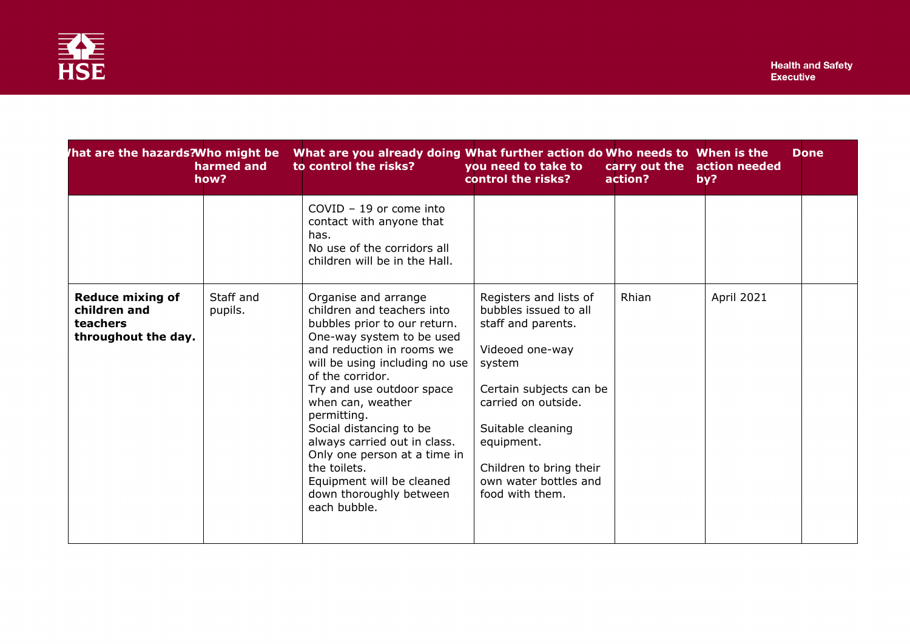| That are the hazards? Who might be                                         | harmed and<br>how?   | What are you already doing What further action do Who needs to When is the<br>to control the risks?                                                                                                                                                                                                                                                                                                                                                    | you need to take to<br>control the risks?                                                                                                                                                                                                                      | action? | carry out the action needed<br>by? | <b>Done</b> |
|----------------------------------------------------------------------------|----------------------|--------------------------------------------------------------------------------------------------------------------------------------------------------------------------------------------------------------------------------------------------------------------------------------------------------------------------------------------------------------------------------------------------------------------------------------------------------|----------------------------------------------------------------------------------------------------------------------------------------------------------------------------------------------------------------------------------------------------------------|---------|------------------------------------|-------------|
|                                                                            |                      | $COVID - 19$ or come into<br>contact with anyone that<br>has.<br>No use of the corridors all<br>children will be in the Hall.                                                                                                                                                                                                                                                                                                                          |                                                                                                                                                                                                                                                                |         |                                    |             |
| <b>Reduce mixing of</b><br>children and<br>teachers<br>throughout the day. | Staff and<br>pupils. | Organise and arrange<br>children and teachers into<br>bubbles prior to our return.<br>One-way system to be used<br>and reduction in rooms we<br>will be using including no use<br>of the corridor.<br>Try and use outdoor space<br>when can, weather<br>permitting.<br>Social distancing to be<br>always carried out in class.<br>Only one person at a time in<br>the toilets.<br>Equipment will be cleaned<br>down thoroughly between<br>each bubble. | Registers and lists of<br>bubbles issued to all<br>staff and parents.<br>Videoed one-way<br>system<br>Certain subjects can be<br>carried on outside.<br>Suitable cleaning<br>equipment.<br>Children to bring their<br>own water bottles and<br>food with them. | Rhian   | April 2021                         |             |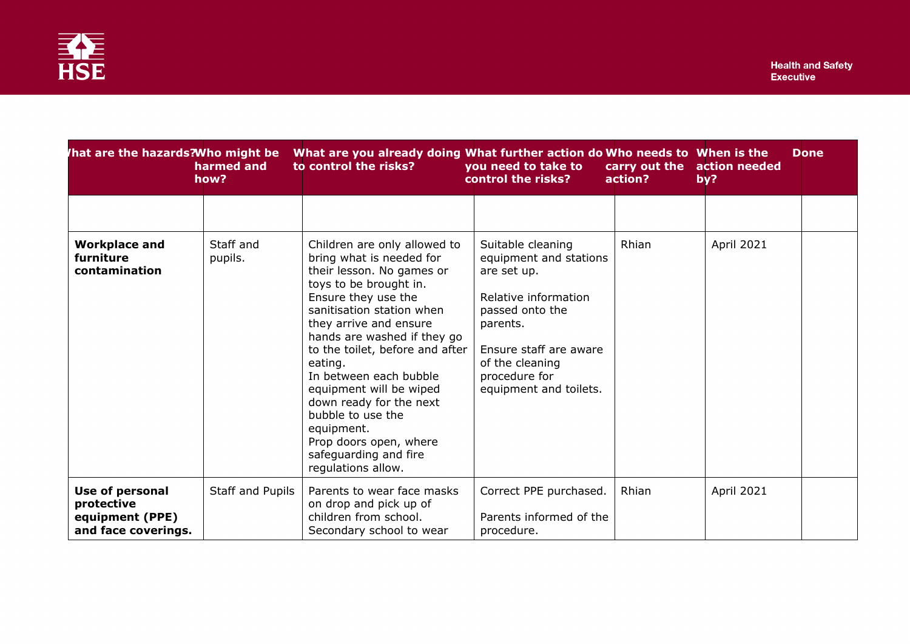| hat are the hazards?Who might be                                        | harmed and<br>how?   | What are you already doing What further action do Who needs to When is the<br>to control the risks?                                                                                                                                                                                                                                                                                                                                                                    | you need to take to<br>control the risks?                                                                                                                                                                 | action? | carry out the action needed<br>by? | <b>Done</b> |
|-------------------------------------------------------------------------|----------------------|------------------------------------------------------------------------------------------------------------------------------------------------------------------------------------------------------------------------------------------------------------------------------------------------------------------------------------------------------------------------------------------------------------------------------------------------------------------------|-----------------------------------------------------------------------------------------------------------------------------------------------------------------------------------------------------------|---------|------------------------------------|-------------|
| <b>Workplace and</b><br>furniture<br>contamination                      | Staff and<br>pupils. | Children are only allowed to<br>bring what is needed for<br>their lesson. No games or<br>toys to be brought in.<br>Ensure they use the<br>sanitisation station when<br>they arrive and ensure<br>hands are washed if they go<br>to the toilet, before and after<br>eating.<br>In between each bubble<br>equipment will be wiped<br>down ready for the next<br>bubble to use the<br>equipment.<br>Prop doors open, where<br>safeguarding and fire<br>regulations allow. | Suitable cleaning<br>equipment and stations<br>are set up.<br>Relative information<br>passed onto the<br>parents.<br>Ensure staff are aware<br>of the cleaning<br>procedure for<br>equipment and toilets. | Rhian   | April 2021                         |             |
| Use of personal<br>protective<br>equipment (PPE)<br>and face coverings. | Staff and Pupils     | Parents to wear face masks<br>on drop and pick up of<br>children from school.<br>Secondary school to wear                                                                                                                                                                                                                                                                                                                                                              | Correct PPE purchased.<br>Parents informed of the<br>procedure.                                                                                                                                           | Rhian   | April 2021                         |             |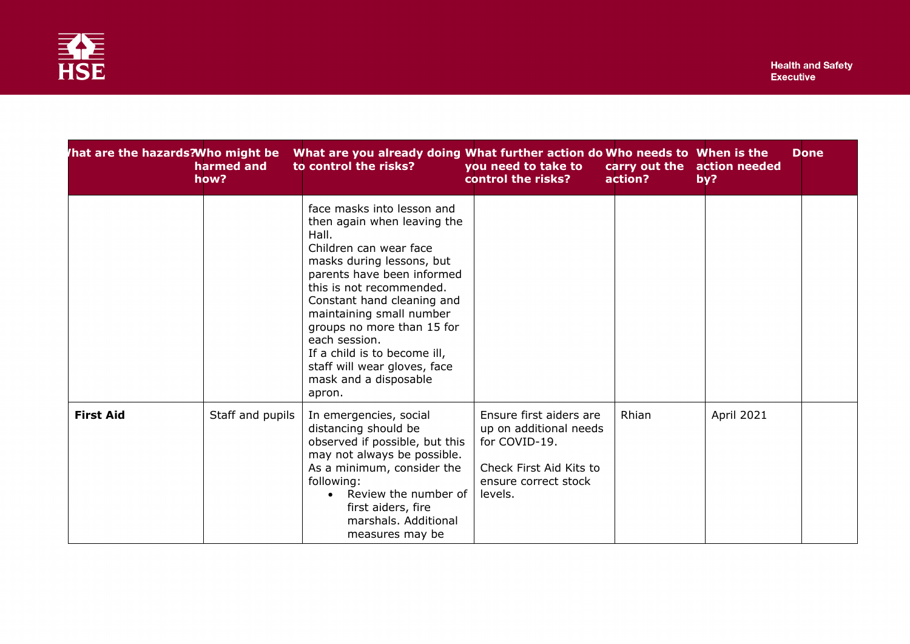

| hat are the hazards?Who might be | harmed and<br>how? | What are you already doing What further action do Who needs to When is the<br>to control the risks?                                                                                                                                                                                                                                                                                             | you need to take to<br>control the risks?                                                                                        | action? | carry out the action needed<br>by? | <b>Done</b> |
|----------------------------------|--------------------|-------------------------------------------------------------------------------------------------------------------------------------------------------------------------------------------------------------------------------------------------------------------------------------------------------------------------------------------------------------------------------------------------|----------------------------------------------------------------------------------------------------------------------------------|---------|------------------------------------|-------------|
|                                  |                    | face masks into lesson and<br>then again when leaving the<br>Hall.<br>Children can wear face<br>masks during lessons, but<br>parents have been informed<br>this is not recommended.<br>Constant hand cleaning and<br>maintaining small number<br>groups no more than 15 for<br>each session.<br>If a child is to become ill,<br>staff will wear gloves, face<br>mask and a disposable<br>apron. |                                                                                                                                  |         |                                    |             |
| <b>First Aid</b>                 | Staff and pupils   | In emergencies, social<br>distancing should be<br>observed if possible, but this<br>may not always be possible.<br>As a minimum, consider the<br>following:<br>Review the number of<br>first aiders, fire<br>marshals. Additional<br>measures may be                                                                                                                                            | Ensure first aiders are<br>up on additional needs<br>for COVID-19.<br>Check First Aid Kits to<br>ensure correct stock<br>levels. | Rhian   | <b>April 2021</b>                  |             |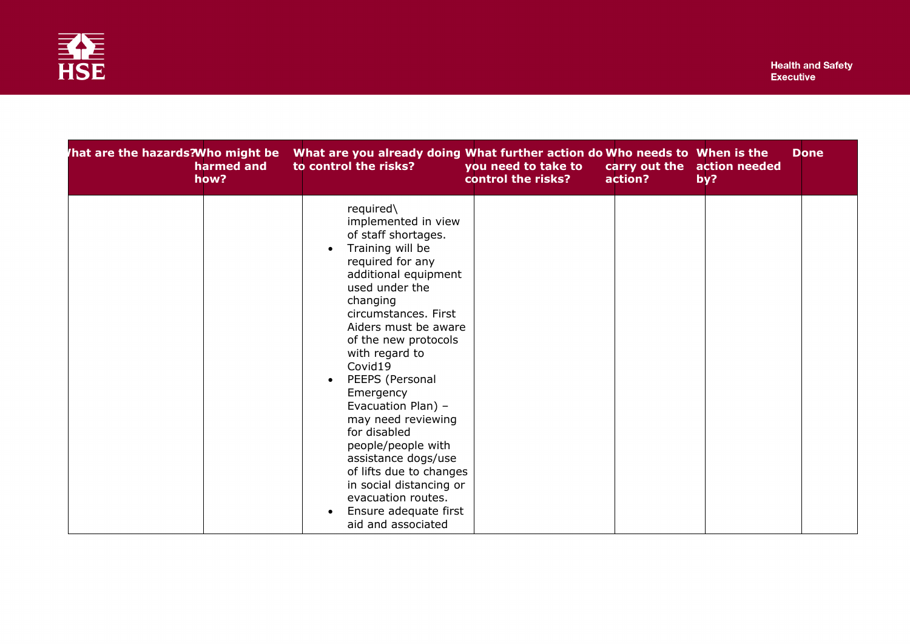

| hat are the hazards?Who might be<br>harmed and<br>how? | What are you already doing What further action do Who needs to When is the<br>to control the risks?                                                                                                                                                                                                                                                                                                                                                                                                                            | you need to take to<br>control the risks? | action? | carry out the action needed<br>by? | <b>Done</b> |
|--------------------------------------------------------|--------------------------------------------------------------------------------------------------------------------------------------------------------------------------------------------------------------------------------------------------------------------------------------------------------------------------------------------------------------------------------------------------------------------------------------------------------------------------------------------------------------------------------|-------------------------------------------|---------|------------------------------------|-------------|
|                                                        | required\<br>implemented in view<br>of staff shortages.<br>Training will be<br>required for any<br>additional equipment<br>used under the<br>changing<br>circumstances. First<br>Aiders must be aware<br>of the new protocols<br>with regard to<br>Covid19<br>PEEPS (Personal<br>Emergency<br>Evacuation Plan) -<br>may need reviewing<br>for disabled<br>people/people with<br>assistance dogs/use<br>of lifts due to changes<br>in social distancing or<br>evacuation routes.<br>Ensure adequate first<br>aid and associated |                                           |         |                                    |             |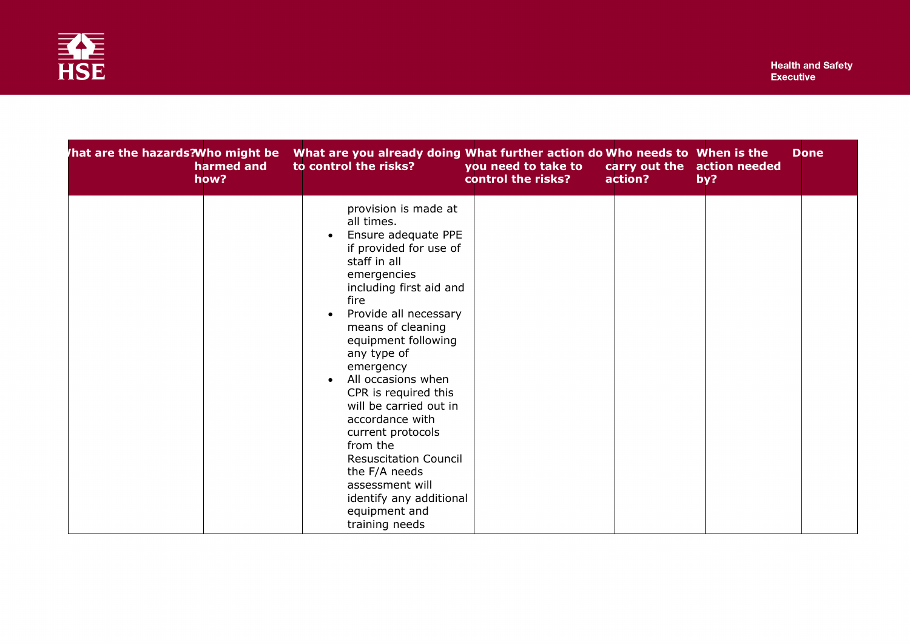

| hat are the hazards?Who might be<br>harmed and<br>how? | What are you already doing What further action do Who needs to When is the<br>to control the risks?                                                                                                                                                                                                                                                                                                                                                                                                                               | you need to take to<br>control the risks? | carry out the action needed<br>action? | by? | <b>Done</b> |
|--------------------------------------------------------|-----------------------------------------------------------------------------------------------------------------------------------------------------------------------------------------------------------------------------------------------------------------------------------------------------------------------------------------------------------------------------------------------------------------------------------------------------------------------------------------------------------------------------------|-------------------------------------------|----------------------------------------|-----|-------------|
|                                                        | provision is made at<br>all times.<br>Ensure adequate PPE<br>if provided for use of<br>staff in all<br>emergencies<br>including first aid and<br>fire<br>Provide all necessary<br>$\bullet$<br>means of cleaning<br>equipment following<br>any type of<br>emergency<br>All occasions when<br>CPR is required this<br>will be carried out in<br>accordance with<br>current protocols<br>from the<br><b>Resuscitation Council</b><br>the F/A needs<br>assessment will<br>identify any additional<br>equipment and<br>training needs |                                           |                                        |     |             |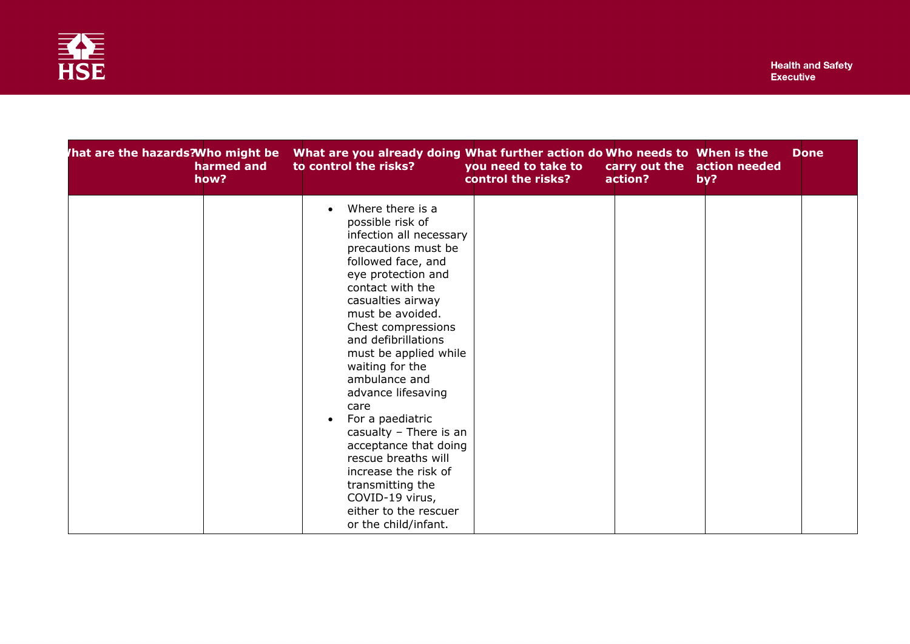

| hat are the hazards?Who might be<br>harmed and<br>how? | What are you already doing What further action do Who needs to When is the<br>to control the risks?                                                                                                                                                                                                                                                                                                                                                                                                                                                                | you need to take to<br>control the risks? | carry out the action needed<br>action? | by? | <b>Done</b> |
|--------------------------------------------------------|--------------------------------------------------------------------------------------------------------------------------------------------------------------------------------------------------------------------------------------------------------------------------------------------------------------------------------------------------------------------------------------------------------------------------------------------------------------------------------------------------------------------------------------------------------------------|-------------------------------------------|----------------------------------------|-----|-------------|
|                                                        | Where there is a<br>$\bullet$<br>possible risk of<br>infection all necessary<br>precautions must be<br>followed face, and<br>eye protection and<br>contact with the<br>casualties airway<br>must be avoided.<br>Chest compressions<br>and defibrillations<br>must be applied while<br>waiting for the<br>ambulance and<br>advance lifesaving<br>care<br>For a paediatric<br>casualty - There is an<br>acceptance that doing<br>rescue breaths will<br>increase the risk of<br>transmitting the<br>COVID-19 virus,<br>either to the rescuer<br>or the child/infant. |                                           |                                        |     |             |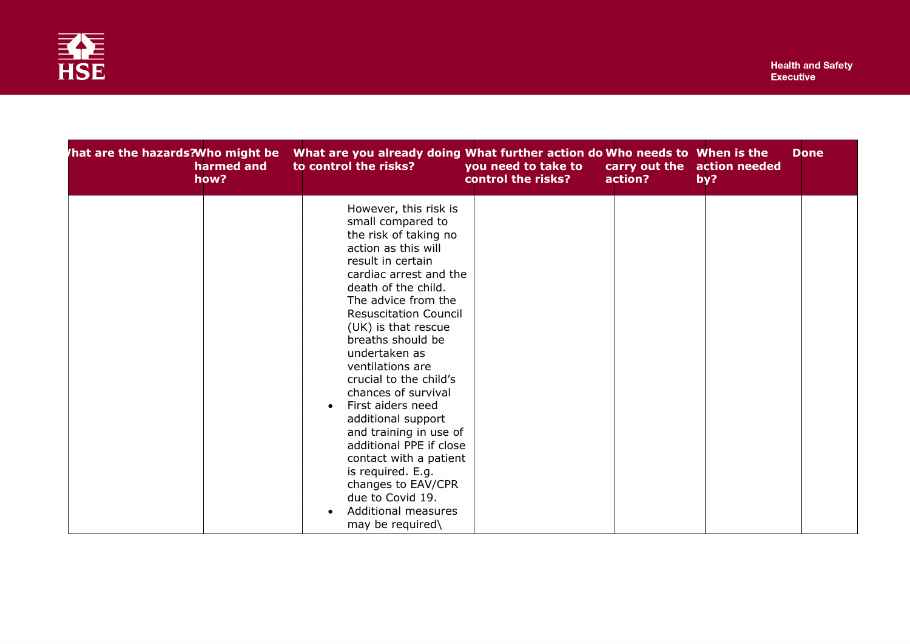

| hat are the hazards?Who might be<br>harmed and<br>how? | What are you already doing What further action do Who needs to When is the<br>to control the risks?                                                                                                                                                                                                                                                                                                                                                                                                                                                                                                  | you need to take to<br>control the risks? | carry out the action needed<br>action? | by? | <b>Done</b> |
|--------------------------------------------------------|------------------------------------------------------------------------------------------------------------------------------------------------------------------------------------------------------------------------------------------------------------------------------------------------------------------------------------------------------------------------------------------------------------------------------------------------------------------------------------------------------------------------------------------------------------------------------------------------------|-------------------------------------------|----------------------------------------|-----|-------------|
|                                                        | However, this risk is<br>small compared to<br>the risk of taking no<br>action as this will<br>result in certain<br>cardiac arrest and the<br>death of the child.<br>The advice from the<br><b>Resuscitation Council</b><br>(UK) is that rescue<br>breaths should be<br>undertaken as<br>ventilations are<br>crucial to the child's<br>chances of survival<br>First aiders need<br>additional support<br>and training in use of<br>additional PPE if close<br>contact with a patient<br>is required. E.g.<br>changes to EAV/CPR<br>due to Covid 19.<br><b>Additional measures</b><br>may be required\ |                                           |                                        |     |             |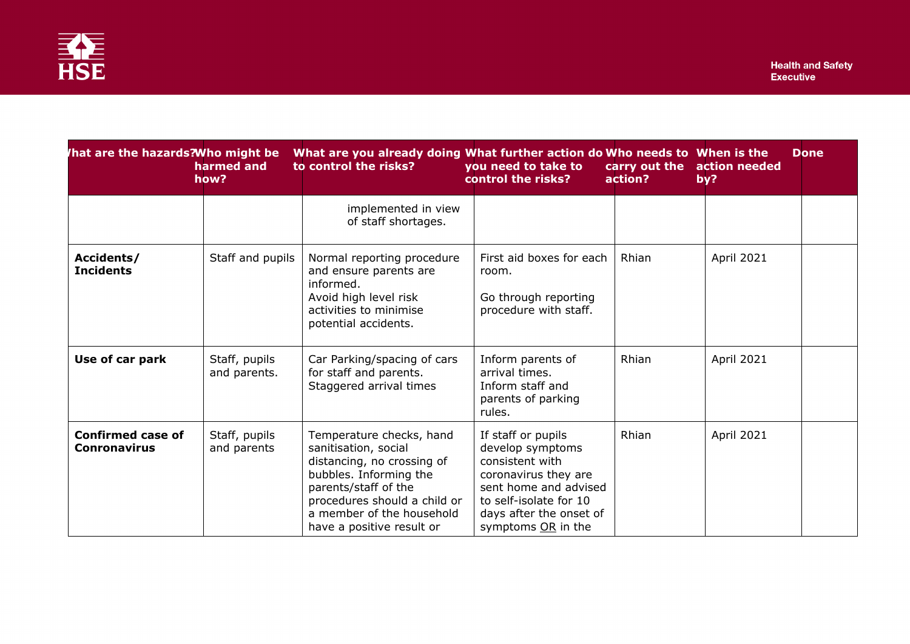

| hat are the hazards?Who might be                | harmed and<br>how?            | What are you already doing What further action do Who needs to When is the<br>to control the risks?                                                                                                                        | you need to take to<br>control the risks?                                                                                                                                             | carry out the<br>action? | <b>Done</b><br>action needed<br>by? |
|-------------------------------------------------|-------------------------------|----------------------------------------------------------------------------------------------------------------------------------------------------------------------------------------------------------------------------|---------------------------------------------------------------------------------------------------------------------------------------------------------------------------------------|--------------------------|-------------------------------------|
|                                                 |                               | implemented in view<br>of staff shortages.                                                                                                                                                                                 |                                                                                                                                                                                       |                          |                                     |
| Accidents/<br><b>Incidents</b>                  | Staff and pupils              | Normal reporting procedure<br>and ensure parents are<br>informed.<br>Avoid high level risk<br>activities to minimise<br>potential accidents.                                                                               | First aid boxes for each<br>room.<br>Go through reporting<br>procedure with staff.                                                                                                    | Rhian                    | April 2021                          |
| Use of car park                                 | Staff, pupils<br>and parents. | Car Parking/spacing of cars<br>for staff and parents.<br>Staggered arrival times                                                                                                                                           | Inform parents of<br>arrival times.<br>Inform staff and<br>parents of parking<br>rules.                                                                                               | Rhian                    | April 2021                          |
| <b>Confirmed case of</b><br><b>Conronavirus</b> | Staff, pupils<br>and parents  | Temperature checks, hand<br>sanitisation, social<br>distancing, no crossing of<br>bubbles. Informing the<br>parents/staff of the<br>procedures should a child or<br>a member of the household<br>have a positive result or | If staff or pupils<br>develop symptoms<br>consistent with<br>coronavirus they are<br>sent home and advised<br>to self-isolate for 10<br>days after the onset of<br>symptoms OR in the | Rhian                    | April 2021                          |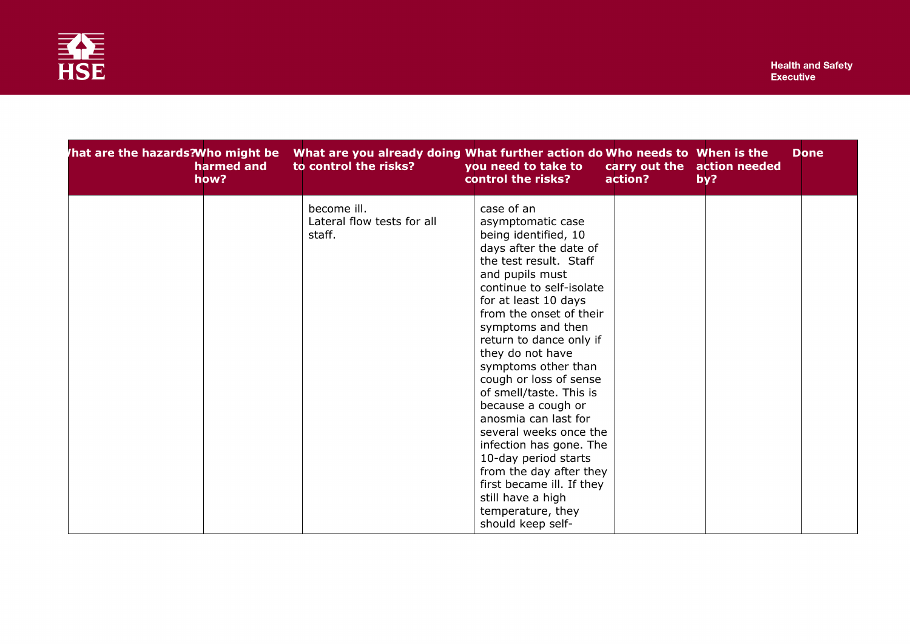

| hat are the hazards?Who might be<br>harmed and<br>how? | to control the risks?                               | What are you already doing What further action do Who needs to When is the<br>you need to take to<br>control the risks?<br>action?                                                                                                                                                                                                                                                                                                                                                                                                                                                                              | <b>Done</b><br>carry out the action needed<br>by? |
|--------------------------------------------------------|-----------------------------------------------------|-----------------------------------------------------------------------------------------------------------------------------------------------------------------------------------------------------------------------------------------------------------------------------------------------------------------------------------------------------------------------------------------------------------------------------------------------------------------------------------------------------------------------------------------------------------------------------------------------------------------|---------------------------------------------------|
|                                                        | become ill.<br>Lateral flow tests for all<br>staff. | case of an<br>asymptomatic case<br>being identified, 10<br>days after the date of<br>the test result. Staff<br>and pupils must<br>continue to self-isolate<br>for at least 10 days<br>from the onset of their<br>symptoms and then<br>return to dance only if<br>they do not have<br>symptoms other than<br>cough or loss of sense<br>of smell/taste. This is<br>because a cough or<br>anosmia can last for<br>several weeks once the<br>infection has gone. The<br>10-day period starts<br>from the day after they<br>first became ill. If they<br>still have a high<br>temperature, they<br>should keep self- |                                                   |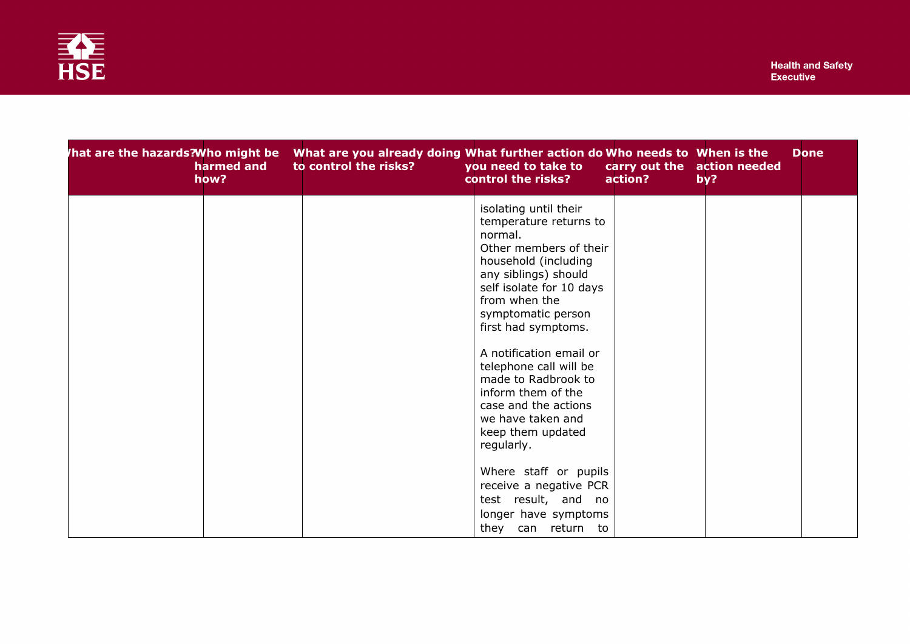

| harmed and<br>how? | to control the risks? | /hat are the hazards?Who might be    What are you already doing What further action do Who needs to   When is the<br>you need to take to<br>control the risks?<br>action?                                                                                                                                                                                                                                        | <b>Done</b><br>carry out the action needed<br>by? |
|--------------------|-----------------------|------------------------------------------------------------------------------------------------------------------------------------------------------------------------------------------------------------------------------------------------------------------------------------------------------------------------------------------------------------------------------------------------------------------|---------------------------------------------------|
|                    |                       | isolating until their<br>temperature returns to<br>normal.<br>Other members of their<br>household (including<br>any siblings) should<br>self isolate for 10 days<br>from when the<br>symptomatic person<br>first had symptoms.<br>A notification email or<br>telephone call will be<br>made to Radbrook to<br>inform them of the<br>case and the actions<br>we have taken and<br>keep them updated<br>regularly. |                                                   |
|                    |                       | Where staff or pupils<br>receive a negative PCR<br>test result, and no<br>longer have symptoms<br>they can return to                                                                                                                                                                                                                                                                                             |                                                   |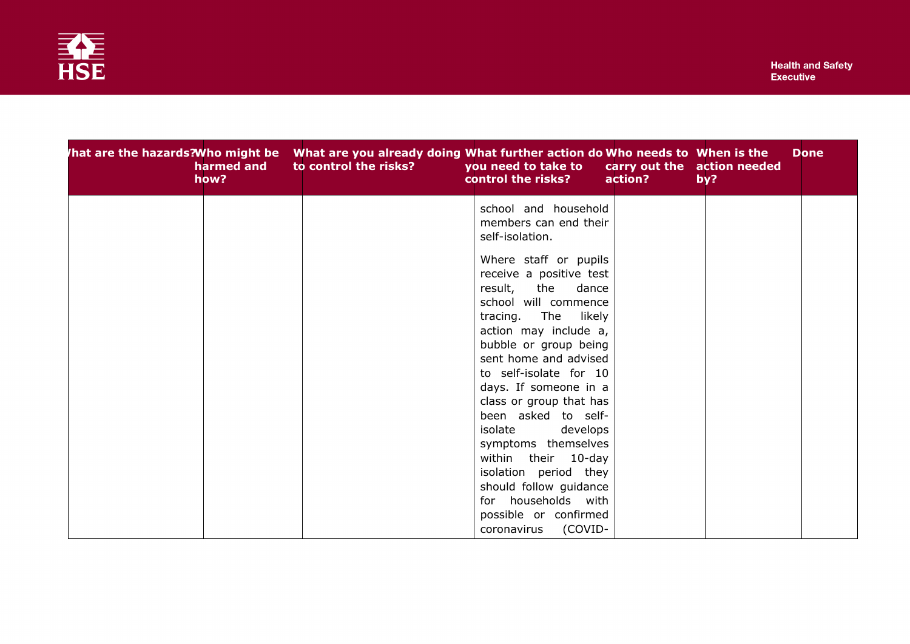

| /hat are the hazards?Who might be    What are you already doing What further action do Who needs to   When is the<br>harmed and<br>how? | to control the risks? | you need to take to<br>control the risks?                                                                                                                                                                                                                                                           | carry out the action needed<br>action? | by? | <b>Done</b> |
|-----------------------------------------------------------------------------------------------------------------------------------------|-----------------------|-----------------------------------------------------------------------------------------------------------------------------------------------------------------------------------------------------------------------------------------------------------------------------------------------------|----------------------------------------|-----|-------------|
|                                                                                                                                         |                       | school and household<br>members can end their<br>self-isolation.<br>Where staff or pupils<br>receive a positive test<br>result,<br>the<br>dance<br>school will commence<br>tracing. The<br>likely<br>action may include a,<br>bubble or group being<br>sent home and advised                        |                                        |     |             |
|                                                                                                                                         |                       | to self-isolate for 10<br>days. If someone in a<br>class or group that has<br>been asked to self-<br>isolate<br>develops<br>symptoms themselves<br>within their 10-day<br>isolation period they<br>should follow guidance<br>for households with<br>possible or confirmed<br>(COVID-<br>coronavirus |                                        |     |             |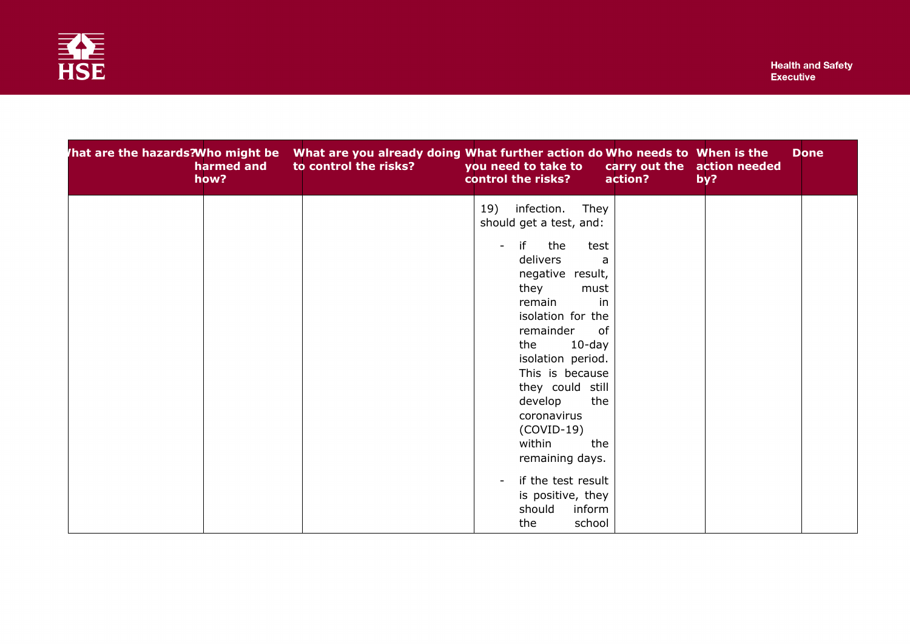

| harmed and<br>how? | to control the risks? | hat are the hazards?Who might be What are you already doing What further action do Who needs to When is the<br>you need to take to<br>control the risks?<br>action?                                                                                                                                                 | <b>Done</b><br>carry out the action needed<br>by? |
|--------------------|-----------------------|---------------------------------------------------------------------------------------------------------------------------------------------------------------------------------------------------------------------------------------------------------------------------------------------------------------------|---------------------------------------------------|
|                    |                       | 19)<br>infection.<br>They<br>should get a test, and:                                                                                                                                                                                                                                                                |                                                   |
|                    |                       | if<br>the<br>$\mathbf{r}$<br>test<br>delivers<br>a<br>negative result,<br>they<br>must<br>in<br>remain<br>isolation for the<br>remainder<br>of<br>$10$ -day<br>the<br>isolation period.<br>This is because<br>they could still<br>develop<br>the<br>coronavirus<br>$(COVID-19)$<br>within<br>the<br>remaining days. |                                                   |
|                    |                       | if the test result<br>is positive, they<br>should<br>inform<br>school<br>the                                                                                                                                                                                                                                        |                                                   |